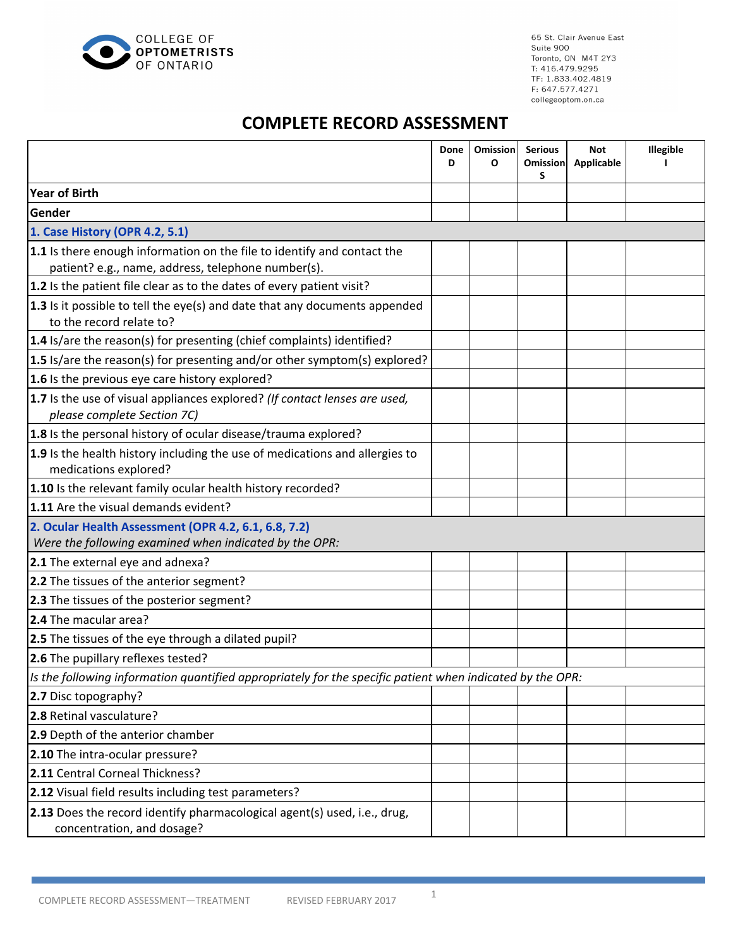

65 St. Clair Avenue East Suite 900 Toronto, ON M4T 2Y3 T: 416.479.9295 TF: 1.833.402.4819 F: 647.577.4271 collegeoptom.on.ca

## **COMPLETE RECORD ASSESSMENT**

|                                                                                                                | Done<br>D | <b>Omission</b><br>0 | <b>Serious</b><br>Omission<br>S | <b>Not</b><br><b>Applicable</b> | Illegible |
|----------------------------------------------------------------------------------------------------------------|-----------|----------------------|---------------------------------|---------------------------------|-----------|
| <b>Year of Birth</b>                                                                                           |           |                      |                                 |                                 |           |
| Gender                                                                                                         |           |                      |                                 |                                 |           |
| 1. Case History (OPR 4.2, 5.1)                                                                                 |           |                      |                                 |                                 |           |
| 1.1 Is there enough information on the file to identify and contact the                                        |           |                      |                                 |                                 |           |
| patient? e.g., name, address, telephone number(s).                                                             |           |                      |                                 |                                 |           |
| 1.2 Is the patient file clear as to the dates of every patient visit?                                          |           |                      |                                 |                                 |           |
| 1.3 Is it possible to tell the eye(s) and date that any documents appended<br>to the record relate to?         |           |                      |                                 |                                 |           |
| $\vert$ 1.4 Is/are the reason(s) for presenting (chief complaints) identified?                                 |           |                      |                                 |                                 |           |
| 1.5 Is/are the reason(s) for presenting and/or other symptom(s) explored?                                      |           |                      |                                 |                                 |           |
| 1.6 Is the previous eye care history explored?                                                                 |           |                      |                                 |                                 |           |
| 1.7 Is the use of visual appliances explored? (If contact lenses are used,<br>please complete Section 7C)      |           |                      |                                 |                                 |           |
| 1.8 Is the personal history of ocular disease/trauma explored?                                                 |           |                      |                                 |                                 |           |
| 1.9 Is the health history including the use of medications and allergies to<br>medications explored?           |           |                      |                                 |                                 |           |
| 1.10 Is the relevant family ocular health history recorded?                                                    |           |                      |                                 |                                 |           |
| 1.11 Are the visual demands evident?                                                                           |           |                      |                                 |                                 |           |
| 2. Ocular Health Assessment (OPR 4.2, 6.1, 6.8, 7.2)<br>Were the following examined when indicated by the OPR: |           |                      |                                 |                                 |           |
| 2.1 The external eye and adnexa?                                                                               |           |                      |                                 |                                 |           |
| 2.2 The tissues of the anterior segment?                                                                       |           |                      |                                 |                                 |           |
| 2.3 The tissues of the posterior segment?                                                                      |           |                      |                                 |                                 |           |
| 2.4 The macular area?                                                                                          |           |                      |                                 |                                 |           |
| <b>2.5</b> The tissues of the eye through a dilated pupil?                                                     |           |                      |                                 |                                 |           |
| 2.6 The pupillary reflexes tested?                                                                             |           |                      |                                 |                                 |           |
| Is the following information quantified appropriately for the specific patient when indicated by the OPR:      |           |                      |                                 |                                 |           |
| 2.7 Disc topography?                                                                                           |           |                      |                                 |                                 |           |
| 2.8 Retinal vasculature?                                                                                       |           |                      |                                 |                                 |           |
| 2.9 Depth of the anterior chamber                                                                              |           |                      |                                 |                                 |           |
| 2.10 The intra-ocular pressure?                                                                                |           |                      |                                 |                                 |           |
| 2.11 Central Corneal Thickness?                                                                                |           |                      |                                 |                                 |           |
| 2.12 Visual field results including test parameters?                                                           |           |                      |                                 |                                 |           |
| <b>2.13</b> Does the record identify pharmacological agent(s) used, i.e., drug,<br>concentration, and dosage?  |           |                      |                                 |                                 |           |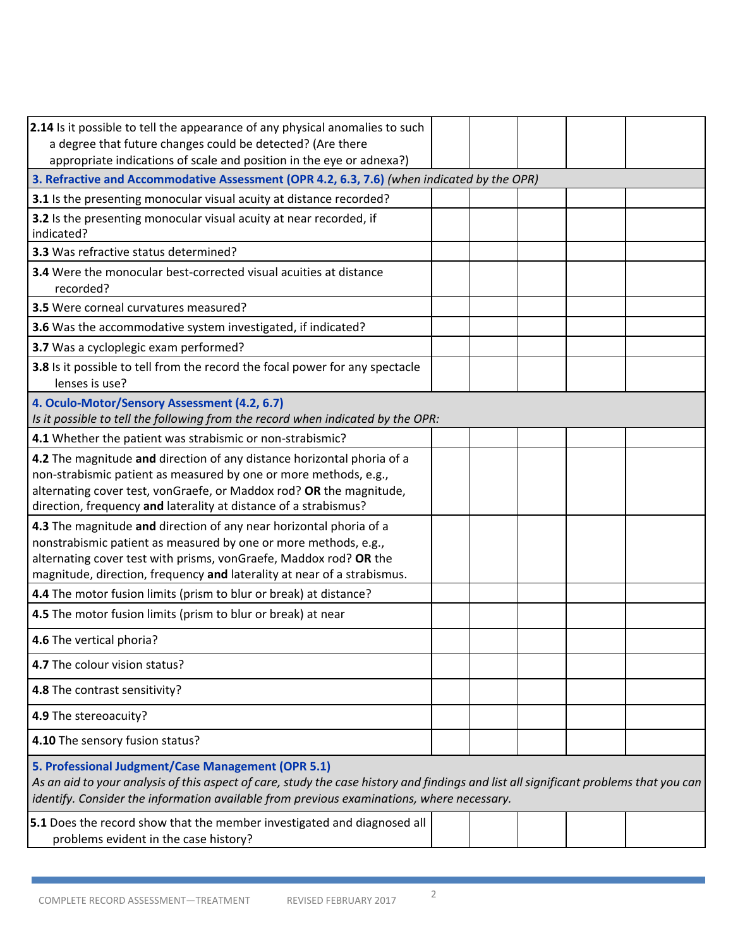| 2.14 Is it possible to tell the appearance of any physical anomalies to such<br>a degree that future changes could be detected? (Are there<br>appropriate indications of scale and position in the eye or adnexa?)                                                                       |  |  |  |
|------------------------------------------------------------------------------------------------------------------------------------------------------------------------------------------------------------------------------------------------------------------------------------------|--|--|--|
| 3. Refractive and Accommodative Assessment (OPR 4.2, 6.3, 7.6) (when indicated by the OPR)                                                                                                                                                                                               |  |  |  |
| 3.1 Is the presenting monocular visual acuity at distance recorded?                                                                                                                                                                                                                      |  |  |  |
| 3.2 Is the presenting monocular visual acuity at near recorded, if<br>indicated?                                                                                                                                                                                                         |  |  |  |
| <b>3.3</b> Was refractive status determined?                                                                                                                                                                                                                                             |  |  |  |
| <b>3.4</b> Were the monocular best-corrected visual acuities at distance<br>recorded?                                                                                                                                                                                                    |  |  |  |
| 3.5 Were corneal curvatures measured?                                                                                                                                                                                                                                                    |  |  |  |
| 3.6 Was the accommodative system investigated, if indicated?                                                                                                                                                                                                                             |  |  |  |
| 3.7 Was a cycloplegic exam performed?                                                                                                                                                                                                                                                    |  |  |  |
| 3.8 Is it possible to tell from the record the focal power for any spectacle<br>lenses is use?                                                                                                                                                                                           |  |  |  |
| 4. Oculo-Motor/Sensory Assessment (4.2, 6.7)<br>Is it possible to tell the following from the record when indicated by the OPR:                                                                                                                                                          |  |  |  |
| 4.1 Whether the patient was strabismic or non-strabismic?                                                                                                                                                                                                                                |  |  |  |
| 4.2 The magnitude and direction of any distance horizontal phoria of a<br>non-strabismic patient as measured by one or more methods, e.g.,<br>alternating cover test, vonGraefe, or Maddox rod? OR the magnitude,<br>direction, frequency and laterality at distance of a strabismus?    |  |  |  |
| 4.3 The magnitude and direction of any near horizontal phoria of a<br>nonstrabismic patient as measured by one or more methods, e.g.,<br>alternating cover test with prisms, vonGraefe, Maddox rod? OR the<br>magnitude, direction, frequency and laterality at near of a strabismus.    |  |  |  |
| 4.4 The motor fusion limits (prism to blur or break) at distance?                                                                                                                                                                                                                        |  |  |  |
| 4.5 The motor fusion limits (prism to blur or break) at near                                                                                                                                                                                                                             |  |  |  |
| 4.6 The vertical phoria?                                                                                                                                                                                                                                                                 |  |  |  |
| 4.7 The colour vision status?                                                                                                                                                                                                                                                            |  |  |  |
| 4.8 The contrast sensitivity?                                                                                                                                                                                                                                                            |  |  |  |
| 4.9 The stereoacuity?                                                                                                                                                                                                                                                                    |  |  |  |
| 4.10 The sensory fusion status?                                                                                                                                                                                                                                                          |  |  |  |
| 5. Professional Judgment/Case Management (OPR 5.1)<br>As an aid to your analysis of this aspect of care, study the case history and findings and list all significant problems that you can<br>identify. Consider the information available from previous examinations, where necessary. |  |  |  |
| 5.1 Does the record show that the member investigated and diagnosed all<br>problems evident in the case history?                                                                                                                                                                         |  |  |  |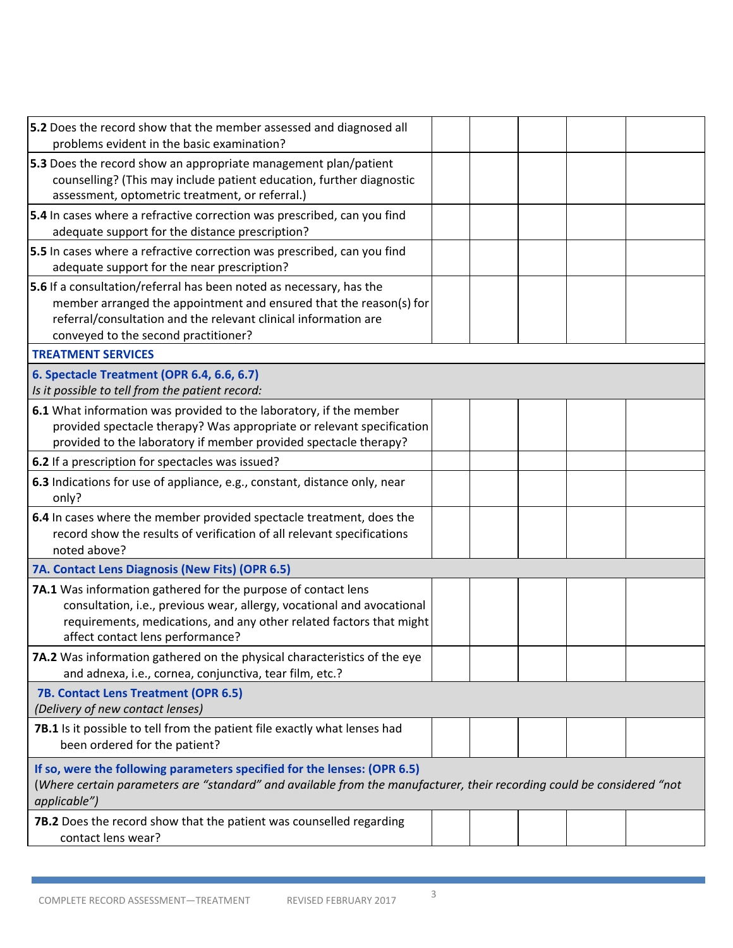| 5.2 Does the record show that the member assessed and diagnosed all<br>problems evident in the basic examination?                                                                                                                                    |  |  |  |  |  |
|------------------------------------------------------------------------------------------------------------------------------------------------------------------------------------------------------------------------------------------------------|--|--|--|--|--|
| 5.3 Does the record show an appropriate management plan/patient<br>counselling? (This may include patient education, further diagnostic<br>assessment, optometric treatment, or referral.)                                                           |  |  |  |  |  |
| 5.4 In cases where a refractive correction was prescribed, can you find<br>adequate support for the distance prescription?                                                                                                                           |  |  |  |  |  |
| 5.5 In cases where a refractive correction was prescribed, can you find<br>adequate support for the near prescription?                                                                                                                               |  |  |  |  |  |
| 5.6 If a consultation/referral has been noted as necessary, has the<br>member arranged the appointment and ensured that the reason(s) for<br>referral/consultation and the relevant clinical information are<br>conveyed to the second practitioner? |  |  |  |  |  |
| <b>TREATMENT SERVICES</b>                                                                                                                                                                                                                            |  |  |  |  |  |
| 6. Spectacle Treatment (OPR 6.4, 6.6, 6.7)<br>Is it possible to tell from the patient record:                                                                                                                                                        |  |  |  |  |  |
| 6.1 What information was provided to the laboratory, if the member<br>provided spectacle therapy? Was appropriate or relevant specification<br>provided to the laboratory if member provided spectacle therapy?                                      |  |  |  |  |  |
| 6.2 If a prescription for spectacles was issued?                                                                                                                                                                                                     |  |  |  |  |  |
| 6.3 Indications for use of appliance, e.g., constant, distance only, near<br>only?                                                                                                                                                                   |  |  |  |  |  |
| 6.4 In cases where the member provided spectacle treatment, does the<br>record show the results of verification of all relevant specifications<br>noted above?                                                                                       |  |  |  |  |  |
| 7A. Contact Lens Diagnosis (New Fits) (OPR 6.5)                                                                                                                                                                                                      |  |  |  |  |  |
| 7A.1 Was information gathered for the purpose of contact lens<br>consultation, i.e., previous wear, allergy, vocational and avocational<br>requirements, medications, and any other related factors that might<br>affect contact lens performance?   |  |  |  |  |  |
| 7A.2 Was information gathered on the physical characteristics of the eye<br>and adnexa, i.e., cornea, conjunctiva, tear film, etc.?                                                                                                                  |  |  |  |  |  |
| 7B. Contact Lens Treatment (OPR 6.5)<br>(Delivery of new contact lenses)                                                                                                                                                                             |  |  |  |  |  |
| 7B.1 Is it possible to tell from the patient file exactly what lenses had<br>been ordered for the patient?                                                                                                                                           |  |  |  |  |  |
| If so, were the following parameters specified for the lenses: (OPR 6.5)<br>(Where certain parameters are "standard" and available from the manufacturer, their recording could be considered "not<br>applicable")                                   |  |  |  |  |  |
| 7B.2 Does the record show that the patient was counselled regarding<br>contact lens wear?                                                                                                                                                            |  |  |  |  |  |